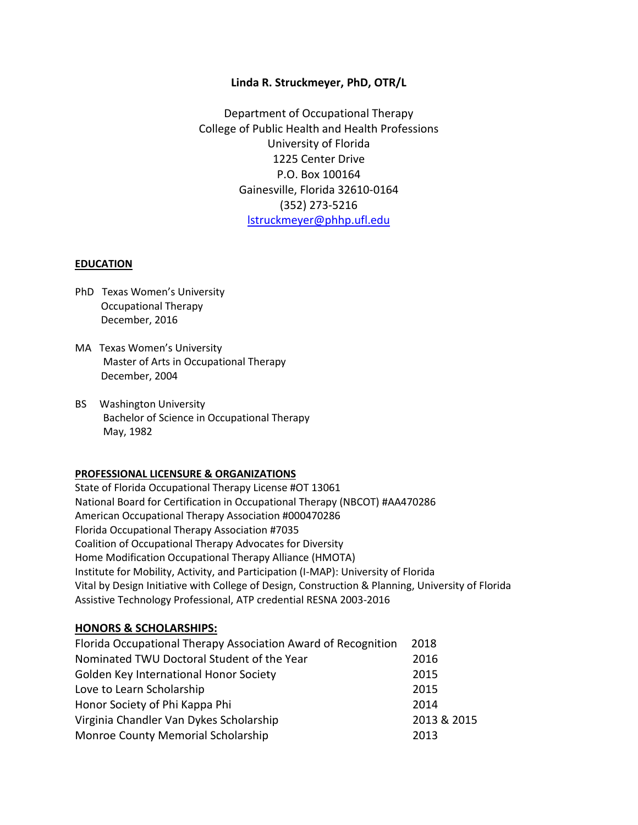## **Linda R. Struckmeyer, PhD, OTR/L**

Department of Occupational Therapy College of Public Health and Health Professions University of Florida 1225 Center Drive P.O. Box 100164 Gainesville, Florida 32610-0164 (352) 273-5216 [lstruckmeyer@phhp.ufl.edu](mailto:lstruckmeyer@phhp.ufl.edu)

#### **EDUCATION**

- PhD Texas Women's University Occupational Therapy December, 2016
- MA Texas Women's University Master of Arts in Occupational Therapy December, 2004
- BS Washington University Bachelor of Science in Occupational Therapy May, 1982

## **PROFESSIONAL LICENSURE & ORGANIZATIONS**

State of Florida Occupational Therapy License #OT 13061 National Board for Certification in Occupational Therapy (NBCOT) #AA470286 American Occupational Therapy Association #000470286 Florida Occupational Therapy Association #7035 Coalition of Occupational Therapy Advocates for Diversity Home Modification Occupational Therapy Alliance (HMOTA) Institute for Mobility, Activity, and Participation (I-MAP): University of Florida Vital by Design Initiative with College of Design, Construction & Planning, University of Florida Assistive Technology Professional, ATP credential RESNA 2003-2016

## **HONORS & SCHOLARSHIPS:**

| Florida Occupational Therapy Association Award of Recognition | 2018        |
|---------------------------------------------------------------|-------------|
| Nominated TWU Doctoral Student of the Year                    | 2016        |
| Golden Key International Honor Society                        | 2015        |
| Love to Learn Scholarship                                     | 2015        |
| Honor Society of Phi Kappa Phi                                | 2014        |
| Virginia Chandler Van Dykes Scholarship                       | 2013 & 2015 |
| Monroe County Memorial Scholarship                            | 2013        |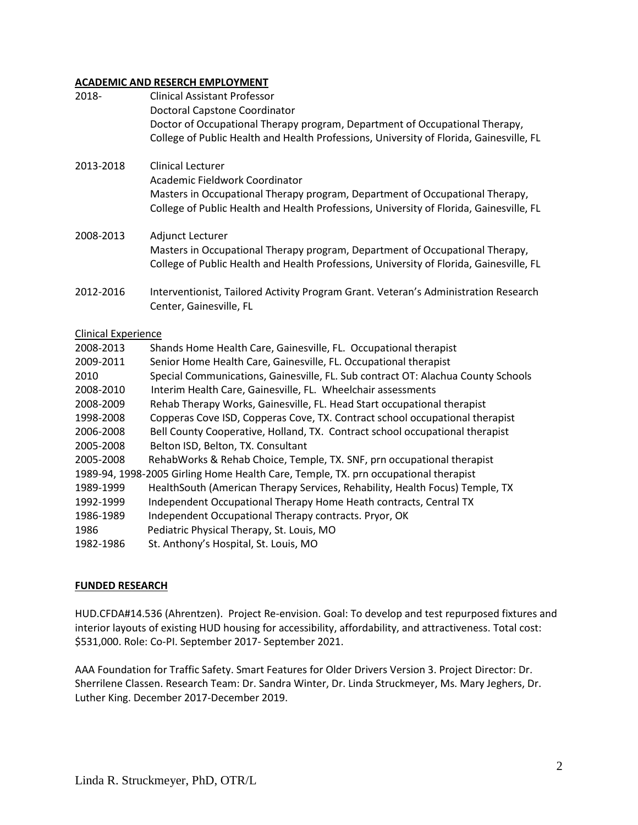## **ACADEMIC AND RESERCH EMPLOYMENT**

| 2018-                      | <b>Clinical Assistant Professor</b><br>Doctoral Capstone Coordinator                                                                                                    |
|----------------------------|-------------------------------------------------------------------------------------------------------------------------------------------------------------------------|
|                            | Doctor of Occupational Therapy program, Department of Occupational Therapy,<br>College of Public Health and Health Professions, University of Florida, Gainesville, FL  |
| 2013-2018                  | <b>Clinical Lecturer</b><br>Academic Fieldwork Coordinator<br>Masters in Occupational Therapy program, Department of Occupational Therapy,                              |
|                            | College of Public Health and Health Professions, University of Florida, Gainesville, FL                                                                                 |
| 2008-2013                  | Adjunct Lecturer                                                                                                                                                        |
|                            | Masters in Occupational Therapy program, Department of Occupational Therapy,<br>College of Public Health and Health Professions, University of Florida, Gainesville, FL |
| 2012-2016                  | Interventionist, Tailored Activity Program Grant. Veteran's Administration Research<br>Center, Gainesville, FL                                                          |
| <b>Clinical Experience</b> |                                                                                                                                                                         |
| 2008-2013                  | Shands Home Health Care, Gainesville, FL. Occupational therapist                                                                                                        |
| 2009-2011                  | Senior Home Health Care, Gainesville, FL. Occupational therapist                                                                                                        |
| 2010                       | Special Communications, Gainesville, FL. Sub contract OT: Alachua County Schools                                                                                        |
| 2008-2010                  | Interim Health Care, Gainesville, FL. Wheelchair assessments                                                                                                            |
| 2008-2009                  | Rehab Therapy Works, Gainesville, FL. Head Start occupational therapist                                                                                                 |
| 1998-2008                  | Copperas Cove ISD, Copperas Cove, TX. Contract school occupational therapist                                                                                            |
| 2006-2008                  | Bell County Cooperative, Holland, TX. Contract school occupational therapist                                                                                            |
| 2005-2008                  | Belton ISD, Belton, TX. Consultant                                                                                                                                      |
| 2005-2008                  | RehabWorks & Rehab Choice, Temple, TX. SNF, prn occupational therapist                                                                                                  |
| 1989-1999                  | 1989-94, 1998-2005 Girling Home Health Care, Temple, TX. prn occupational therapist                                                                                     |
| 1992-1999                  | HealthSouth (American Therapy Services, Rehability, Health Focus) Temple, TX<br>Independent Occupational Therapy Home Heath contracts, Central TX                       |
| 1986-1989                  | Independent Occupational Therapy contracts. Pryor, OK                                                                                                                   |
| 1986                       | Pediatric Physical Therapy, St. Louis, MO                                                                                                                               |
| 1982-1986                  | St. Anthony's Hospital, St. Louis, MO                                                                                                                                   |

## **FUNDED RESEARCH**

HUD.CFDA#14.536 (Ahrentzen). Project Re-envision. Goal: To develop and test repurposed fixtures and interior layouts of existing HUD housing for accessibility, affordability, and attractiveness. Total cost: \$531,000. Role: Co-PI. September 2017- September 2021.

AAA Foundation for Traffic Safety. Smart Features for Older Drivers Version 3. Project Director: Dr. Sherrilene Classen. Research Team: Dr. Sandra Winter, Dr. Linda Struckmeyer, Ms. Mary Jeghers, Dr. Luther King. December 2017-December 2019.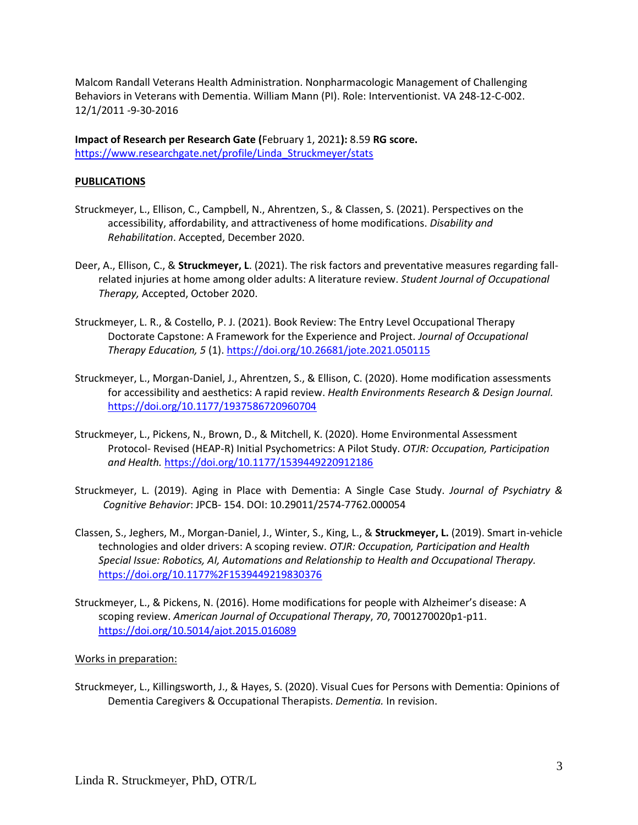Malcom Randall Veterans Health Administration. Nonpharmacologic Management of Challenging Behaviors in Veterans with Dementia. William Mann (PI). Role: Interventionist. VA 248-12-C-002. 12/1/2011 -9-30-2016

**Impact of Research per Research Gate (**February 1, 2021**):** 8.59 **RG score.**  [https://www.researchgate.net/profile/Linda\\_Struckmeyer/stats](https://www.researchgate.net/profile/Linda_Struckmeyer/stats)

## **PUBLICATIONS**

- Struckmeyer, L., Ellison, C., Campbell, N., Ahrentzen, S., & Classen, S. (2021). Perspectives on the accessibility, affordability, and attractiveness of home modifications. *Disability and Rehabilitation*. Accepted, December 2020.
- Deer, A., Ellison, C., & **Struckmeyer, L**. (2021). The risk factors and preventative measures regarding fallrelated injuries at home among older adults: A literature review. *Student Journal of Occupational Therapy,* Accepted, October 2020.
- Struckmeyer, L. R., & Costello, P. J. (2021). Book Review: The Entry Level Occupational Therapy Doctorate Capstone: A Framework for the Experience and Project. *Journal of Occupational Therapy Education, 5* (1)[. https://doi.org/10.26681/jote.2021.050115](https://doi.org/10.26681/jote.2021.050115)
- Struckmeyer, L., Morgan-Daniel, J., Ahrentzen, S., & Ellison, C. (2020). Home modification assessments for accessibility and aesthetics: A rapid review. *Health Environments Research & Design Journal.*  [https://doi.org/10.1177/1937586720960704](https://urldefense.proofpoint.com/v2/url?u=https-3A__doi.org_10.1177_1937586720960704&d=DwQFaQ&c=sJ6xIWYx-zLMB3EPkvcnVg&r=KNsPKo0E2vM_vCryMwdtk-xW0IbJVz7s3FFaiQ30Y6I&m=4_VFa2zN7MWkSM5hx61yWuajHN2SOv0a447gVHMWZU0&s=lAuz-CBqD1_a3RgtOnEO961OIbODfAAKe1UPYqGCaV0&e=)
- Struckmeyer, L., Pickens, N., Brown, D., & Mitchell, K. (2020). Home Environmental Assessment Protocol- Revised (HEAP-R) Initial Psychometrics: A Pilot Study. *OTJR: Occupation, Participation and Health.* [https://doi.org/10.1177/1539449220912186](https://urldefense.proofpoint.com/v2/url?u=https-3A__doi.org_10.1177_1539449220912186&d=DwQFaQ&c=sJ6xIWYx-zLMB3EPkvcnVg&r=KNsPKo0E2vM_vCryMwdtk-xW0IbJVz7s3FFaiQ30Y6I&m=ZqKbXalNskaQHH1ntsmlUgVuW7x8dHy8psJlLS55cAY&s=7JFVMvfXsU49BO4SbFIFTLIX0u4i6Ab7ublSlihplE8&e=)
- Struckmeyer, L. (2019). Aging in Place with Dementia: A Single Case Study. *Journal of Psychiatry & Cognitive Behavior*: JPCB- 154. DOI: 10.29011/2574-7762.000054
- Classen, S., Jeghers, M., Morgan-Daniel, J., Winter, S., King, L., & **Struckmeyer, L.** (2019). Smart in-vehicle technologies and older drivers: A scoping review. *OTJR: Occupation, Participation and Health Special Issue: Robotics, AI, Automations and Relationship to Health and Occupational Therapy.* <https://doi.org/10.1177%2F1539449219830376>
- Struckmeyer, L., & Pickens, N. (2016). Home modifications for people with Alzheimer's disease: A scoping review. *American Journal of Occupational Therapy*, *70*, 7001270020p1-p11. <https://doi.org/10.5014/ajot.2015.016089>

#### Works in preparation:

Struckmeyer, L., Killingsworth, J., & Hayes, S. (2020). Visual Cues for Persons with Dementia: Opinions of Dementia Caregivers & Occupational Therapists. *Dementia.* In revision.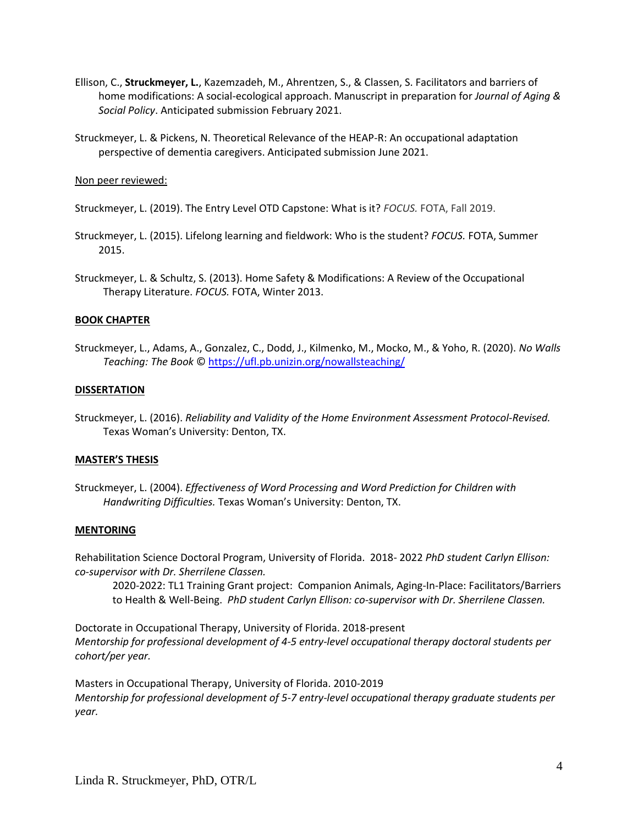- Ellison, C., **Struckmeyer, L.**, Kazemzadeh, M., Ahrentzen, S., & Classen, S. Facilitators and barriers of home modifications: A social-ecological approach. Manuscript in preparation for *Journal of Aging & Social Policy*. Anticipated submission February 2021.
- Struckmeyer, L. & Pickens, N. Theoretical Relevance of the HEAP-R: An occupational adaptation perspective of dementia caregivers. Anticipated submission June 2021.

#### Non peer reviewed:

Struckmeyer, L. (2019). The Entry Level OTD Capstone: What is it? *FOCUS.* FOTA, Fall 2019.

- Struckmeyer, L. (2015). Lifelong learning and fieldwork: Who is the student? *FOCUS.* FOTA, Summer 2015.
- Struckmeyer, L. & Schultz, S. (2013). Home Safety & Modifications: A Review of the Occupational Therapy Literature. *FOCUS.* FOTA, Winter 2013.

#### **BOOK CHAPTER**

Struckmeyer, L., Adams, A., Gonzalez, C., Dodd, J., Kilmenko, M., Mocko, M., & Yoho, R. (2020). *No Walls Teaching: The Book* ©<https://ufl.pb.unizin.org/nowallsteaching/>

#### **DISSERTATION**

Struckmeyer, L. (2016). *Reliability and Validity of the Home Environment Assessment Protocol-Revised.* Texas Woman's University: Denton, TX.

#### **MASTER'S THESIS**

Struckmeyer, L. (2004). *Effectiveness of Word Processing and Word Prediction for Children with Handwriting Difficulties.* Texas Woman's University: Denton, TX.

## **MENTORING**

Rehabilitation Science Doctoral Program, University of Florida. 2018- 2022 *PhD student Carlyn Ellison: co-supervisor with Dr. Sherrilene Classen.*

2020-2022: TL1 Training Grant project: Companion Animals, Aging-In-Place: Facilitators/Barriers to Health & Well-Being. *PhD student Carlyn Ellison: co-supervisor with Dr. Sherrilene Classen.*

Doctorate in Occupational Therapy, University of Florida. 2018-present *Mentorship for professional development of 4-5 entry-level occupational therapy doctoral students per cohort/per year.*

Masters in Occupational Therapy, University of Florida. 2010-2019 *Mentorship for professional development of 5-7 entry-level occupational therapy graduate students per year.*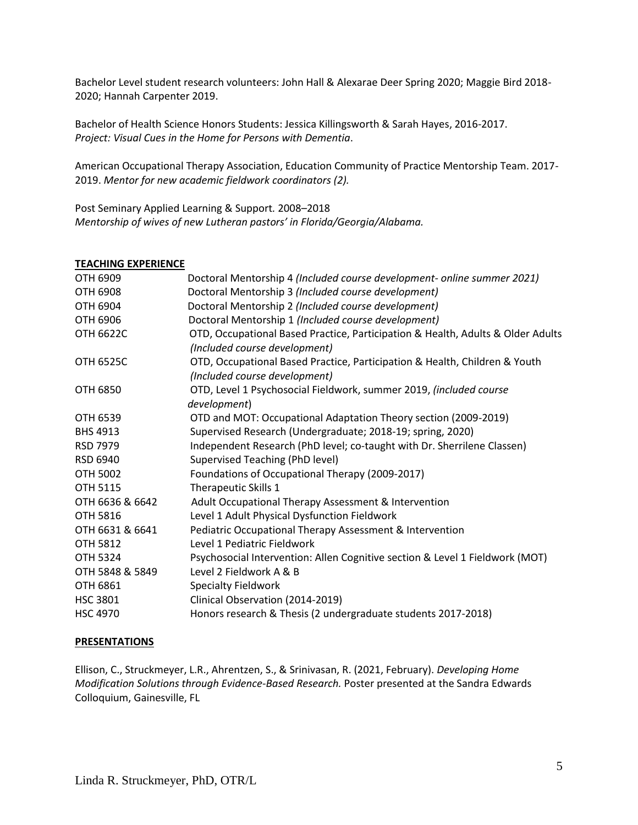Bachelor Level student research volunteers: John Hall & Alexarae Deer Spring 2020; Maggie Bird 2018- 2020; Hannah Carpenter 2019.

Bachelor of Health Science Honors Students: Jessica Killingsworth & Sarah Hayes, 2016-2017. *Project: Visual Cues in the Home for Persons with Dementia*.

American Occupational Therapy Association, Education Community of Practice Mentorship Team. 2017- 2019. *Mentor for new academic fieldwork coordinators (2).* 

Post Seminary Applied Learning & Support*.* 2008–2018 *Mentorship of wives of new Lutheran pastors' in Florida/Georgia/Alabama.*

#### **TEACHING EXPERIENCE**

| OTH 6909         | Doctoral Mentorship 4 (Included course development- online summer 2021)                                          |
|------------------|------------------------------------------------------------------------------------------------------------------|
| <b>OTH 6908</b>  | Doctoral Mentorship 3 (Included course development)                                                              |
| <b>OTH 6904</b>  | Doctoral Mentorship 2 (Included course development)                                                              |
| <b>OTH 6906</b>  | Doctoral Mentorship 1 (Included course development)                                                              |
| <b>OTH 6622C</b> | OTD, Occupational Based Practice, Participation & Health, Adults & Older Adults<br>(Included course development) |
| <b>OTH 6525C</b> | OTD, Occupational Based Practice, Participation & Health, Children & Youth<br>(Included course development)      |
| <b>OTH 6850</b>  | OTD, Level 1 Psychosocial Fieldwork, summer 2019, (included course<br>development)                               |
| OTH 6539         | OTD and MOT: Occupational Adaptation Theory section (2009-2019)                                                  |
| <b>BHS 4913</b>  | Supervised Research (Undergraduate; 2018-19; spring, 2020)                                                       |
| RSD 7979         | Independent Research (PhD level; co-taught with Dr. Sherrilene Classen)                                          |
| <b>RSD 6940</b>  | Supervised Teaching (PhD level)                                                                                  |
| <b>OTH 5002</b>  | Foundations of Occupational Therapy (2009-2017)                                                                  |
| <b>OTH 5115</b>  | Therapeutic Skills 1                                                                                             |
| OTH 6636 & 6642  | Adult Occupational Therapy Assessment & Intervention                                                             |
| <b>OTH 5816</b>  | Level 1 Adult Physical Dysfunction Fieldwork                                                                     |
| OTH 6631 & 6641  | Pediatric Occupational Therapy Assessment & Intervention                                                         |
| <b>OTH 5812</b>  | Level 1 Pediatric Fieldwork                                                                                      |
| <b>OTH 5324</b>  | Psychosocial Intervention: Allen Cognitive section & Level 1 Fieldwork (MOT)                                     |
| OTH 5848 & 5849  | Level 2 Fieldwork A & B                                                                                          |
| <b>OTH 6861</b>  | <b>Specialty Fieldwork</b>                                                                                       |
| <b>HSC 3801</b>  | Clinical Observation (2014-2019)                                                                                 |
| <b>HSC 4970</b>  | Honors research & Thesis (2 undergraduate students 2017-2018)                                                    |

#### **PRESENTATIONS**

Ellison, C., Struckmeyer, L.R., Ahrentzen, S., & Srinivasan, R. (2021, February). *Developing Home Modification Solutions through Evidence-Based Research.* Poster presented at the Sandra Edwards Colloquium, Gainesville, FL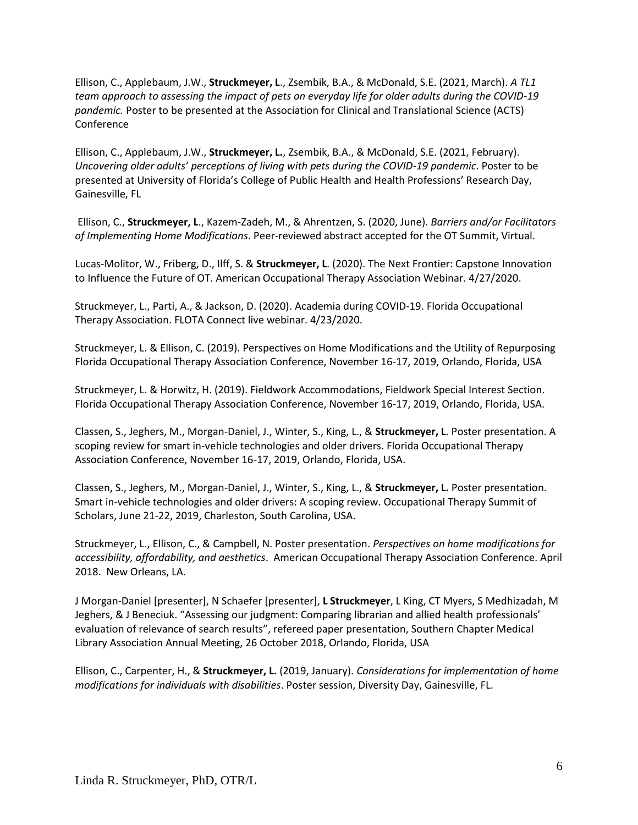Ellison, C., Applebaum, J.W., **Struckmeyer, L**., Zsembik, B.A., & McDonald, S.E. (2021, March). *A TL1 team approach to assessing the impact of pets on everyday life for older adults during the COVID-19 pandemic.* Poster to be presented at the Association for Clinical and Translational Science (ACTS) Conference

Ellison, C., Applebaum, J.W., **Struckmeyer, L.**, Zsembik, B.A., & McDonald, S.E. (2021, February). *Uncovering older adults' perceptions of living with pets during the COVID-19 pandemic*. Poster to be presented at University of Florida's College of Public Health and Health Professions' Research Day, Gainesville, FL

Ellison, C., **Struckmeyer, L**., Kazem-Zadeh, M., & Ahrentzen, S. (2020, June). *Barriers and/or Facilitators of Implementing Home Modifications*. Peer-reviewed abstract accepted for the OT Summit, Virtual.

Lucas-Molitor, W., Friberg, D., Ilff, S. & **Struckmeyer, L**. (2020). The Next Frontier: Capstone Innovation to Influence the Future of OT. American Occupational Therapy Association Webinar. 4/27/2020.

Struckmeyer, L., Parti, A., & Jackson, D. (2020). Academia during COVID-19. Florida Occupational Therapy Association. FLOTA Connect live webinar. 4/23/2020.

Struckmeyer, L. & Ellison, C. (2019). Perspectives on Home Modifications and the Utility of Repurposing Florida Occupational Therapy Association Conference, November 16-17, 2019, Orlando, Florida, USA

Struckmeyer, L. & Horwitz, H. (2019). Fieldwork Accommodations, Fieldwork Special Interest Section. Florida Occupational Therapy Association Conference, November 16-17, 2019, Orlando, Florida, USA.

Classen, S., Jeghers, M., Morgan-Daniel, J., Winter, S., King, L., & **Struckmeyer, L**. Poster presentation. A scoping review for smart in-vehicle technologies and older drivers. Florida Occupational Therapy Association Conference, November 16-17, 2019, Orlando, Florida, USA.

Classen, S., Jeghers, M., Morgan-Daniel, J., Winter, S., King, L., & **Struckmeyer, L.** Poster presentation. Smart in-vehicle technologies and older drivers: A scoping review. Occupational Therapy Summit of Scholars, June 21-22, 2019, Charleston, South Carolina, USA.

Struckmeyer, L., Ellison, C., & Campbell, N. Poster presentation. *Perspectives on home modifications for accessibility, affordability, and aesthetics*. American Occupational Therapy Association Conference. April 2018. New Orleans, LA.

J Morgan-Daniel [presenter], N Schaefer [presenter], **L Struckmeyer**, L King, CT Myers, S Medhizadah, M Jeghers, & J Beneciuk. "Assessing our judgment: Comparing librarian and allied health professionals' evaluation of relevance of search results", refereed paper presentation, Southern Chapter Medical Library Association Annual Meeting, 26 October 2018, Orlando, Florida, USA

Ellison, C., Carpenter, H., & **Struckmeyer, L.** (2019, January). *Considerations for implementation of home modifications for individuals with disabilities*. Poster session, Diversity Day, Gainesville, FL.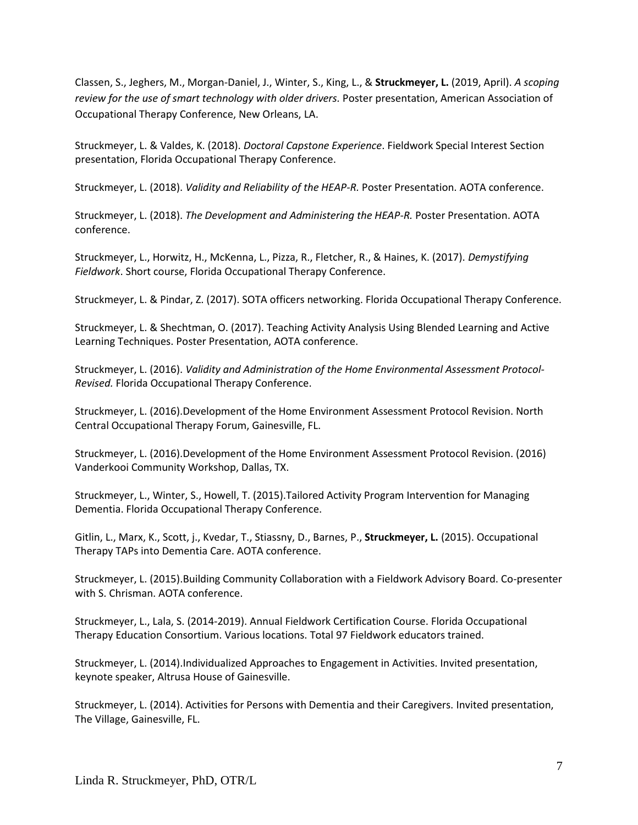Classen, S., Jeghers, M., Morgan-Daniel, J., Winter, S., King, L., & **Struckmeyer, L.** (2019, April). *A scoping review for the use of smart technology with older drivers.* Poster presentation, American Association of Occupational Therapy Conference, New Orleans, LA.

Struckmeyer, L. & Valdes, K. (2018). *Doctoral Capstone Experience*. Fieldwork Special Interest Section presentation, Florida Occupational Therapy Conference.

Struckmeyer, L. (2018). *Validity and Reliability of the HEAP-R.* Poster Presentation. AOTA conference.

Struckmeyer, L. (2018). *The Development and Administering the HEAP-R.* Poster Presentation. AOTA conference.

Struckmeyer, L., Horwitz, H., McKenna, L., Pizza, R., Fletcher, R., & Haines, K. (2017). *Demystifying Fieldwork*. Short course, Florida Occupational Therapy Conference.

Struckmeyer, L. & Pindar, Z. (2017). SOTA officers networking. Florida Occupational Therapy Conference.

Struckmeyer, L. & Shechtman, O. (2017). Teaching Activity Analysis Using Blended Learning and Active Learning Techniques. Poster Presentation, AOTA conference.

Struckmeyer, L. (2016). *Validity and Administration of the Home Environmental Assessment Protocol-Revised.* Florida Occupational Therapy Conference.

Struckmeyer, L. (2016).Development of the Home Environment Assessment Protocol Revision. North Central Occupational Therapy Forum, Gainesville, FL.

Struckmeyer, L. (2016).Development of the Home Environment Assessment Protocol Revision. (2016) Vanderkooi Community Workshop, Dallas, TX.

Struckmeyer, L., Winter, S., Howell, T. (2015).Tailored Activity Program Intervention for Managing Dementia. Florida Occupational Therapy Conference.

Gitlin, L., Marx, K., Scott, j., Kvedar, T., Stiassny, D., Barnes, P., **Struckmeyer, L.** (2015). Occupational Therapy TAPs into Dementia Care. AOTA conference.

Struckmeyer, L. (2015).Building Community Collaboration with a Fieldwork Advisory Board. Co-presenter with S. Chrisman. AOTA conference.

Struckmeyer, L., Lala, S. (2014-2019). Annual Fieldwork Certification Course. Florida Occupational Therapy Education Consortium. Various locations. Total 97 Fieldwork educators trained.

Struckmeyer, L. (2014).Individualized Approaches to Engagement in Activities. Invited presentation, keynote speaker, Altrusa House of Gainesville.

Struckmeyer, L. (2014). Activities for Persons with Dementia and their Caregivers. Invited presentation, The Village, Gainesville, FL.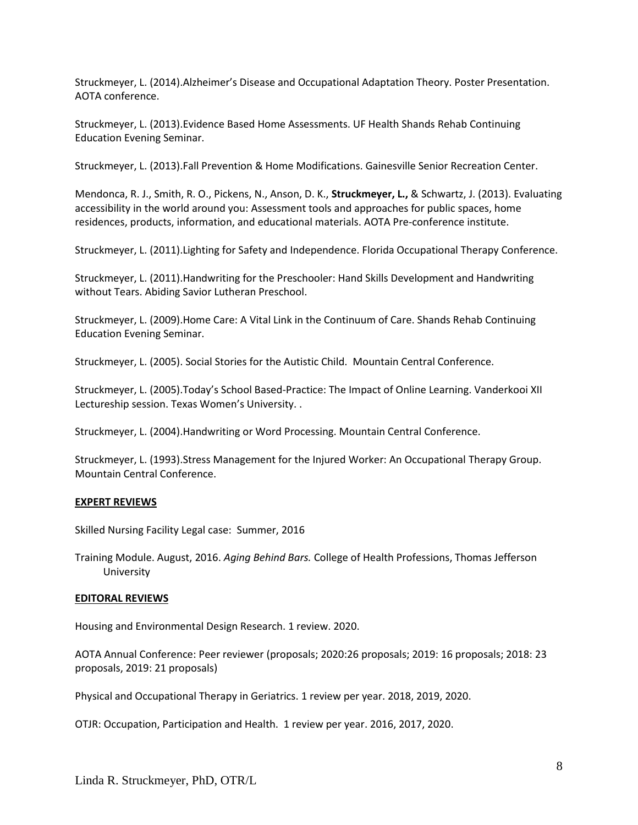Struckmeyer, L. (2014).Alzheimer's Disease and Occupational Adaptation Theory. Poster Presentation. AOTA conference.

Struckmeyer, L. (2013).Evidence Based Home Assessments. UF Health Shands Rehab Continuing Education Evening Seminar.

Struckmeyer, L. (2013).Fall Prevention & Home Modifications. Gainesville Senior Recreation Center.

Mendonca, R. J., Smith, R. O., Pickens, N., Anson, D. K., **Struckmeyer, L.,** & Schwartz, J. (2013). Evaluating accessibility in the world around you: Assessment tools and approaches for public spaces, home residences, products, information, and educational materials. AOTA Pre-conference institute.

Struckmeyer, L. (2011).Lighting for Safety and Independence. Florida Occupational Therapy Conference.

Struckmeyer, L. (2011).Handwriting for the Preschooler: Hand Skills Development and Handwriting without Tears. Abiding Savior Lutheran Preschool.

Struckmeyer, L. (2009).Home Care: A Vital Link in the Continuum of Care. Shands Rehab Continuing Education Evening Seminar.

Struckmeyer, L. (2005). Social Stories for the Autistic Child. Mountain Central Conference.

Struckmeyer, L. (2005).Today's School Based-Practice: The Impact of Online Learning. Vanderkooi XII Lectureship session. Texas Women's University. .

Struckmeyer, L. (2004).Handwriting or Word Processing. Mountain Central Conference.

Struckmeyer, L. (1993).Stress Management for the Injured Worker: An Occupational Therapy Group. Mountain Central Conference.

#### **EXPERT REVIEWS**

Skilled Nursing Facility Legal case: Summer, 2016

Training Module. August, 2016. *Aging Behind Bars.* College of Health Professions, Thomas Jefferson University

#### **EDITORAL REVIEWS**

Housing and Environmental Design Research. 1 review. 2020.

AOTA Annual Conference: Peer reviewer (proposals; 2020:26 proposals; 2019: 16 proposals; 2018: 23 proposals, 2019: 21 proposals)

Physical and Occupational Therapy in Geriatrics. 1 review per year. 2018, 2019, 2020.

OTJR: Occupation, Participation and Health. 1 review per year. 2016, 2017, 2020.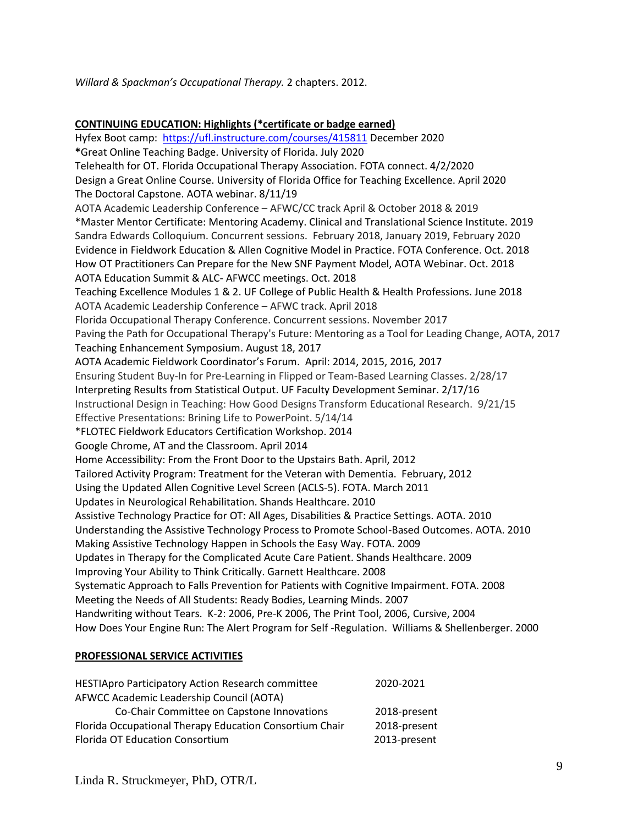*Willard & Spackman's Occupational Therapy.* 2 chapters. 2012.

#### **CONTINUING EDUCATION: Highlights (\*certificate or badge earned)**

Hyfex Boot camp: <https://ufl.instructure.com/courses/415811> December 2020 **\***Great Online Teaching Badge. University of Florida. July 2020 Telehealth for OT. Florida Occupational Therapy Association. FOTA connect. 4/2/2020 Design a Great Online Course. University of Florida Office for Teaching Excellence. April 2020 The Doctoral Capstone. AOTA webinar. 8/11/19 AOTA Academic Leadership Conference – AFWC/CC track April & October 2018 & 2019 \*Master Mentor Certificate: Mentoring Academy. Clinical and Translational Science Institute. 2019 Sandra Edwards Colloquium. Concurrent sessions. February 2018, January 2019, February 2020 Evidence in Fieldwork Education & Allen Cognitive Model in Practice. FOTA Conference. Oct. 2018 How OT Practitioners Can Prepare for the New SNF Payment Model, AOTA Webinar. Oct. 2018 AOTA Education Summit & ALC- AFWCC meetings. Oct. 2018 Teaching Excellence Modules 1 & 2. UF College of Public Health & Health Professions. June 2018 AOTA Academic Leadership Conference – AFWC track. April 2018 Florida Occupational Therapy Conference. Concurrent sessions. November 2017 Paving the Path for Occupational Therapy's Future: Mentoring as a Tool for Leading Change, AOTA, 2017 Teaching Enhancement Symposium. August 18, 2017 AOTA Academic Fieldwork Coordinator's Forum. April: 2014, 2015, 2016, 2017 Ensuring Student Buy-In for Pre-Learning in Flipped or Team-Based Learning Classes. 2/28/17 Interpreting Results from Statistical Output. UF Faculty Development Seminar. 2/17/16 Instructional Design in Teaching: How Good Designs Transform Educational Research. 9/21/15 Effective Presentations: Brining Life to PowerPoint. 5/14/14 \*FLOTEC Fieldwork Educators Certification Workshop. 2014 Google Chrome, AT and the Classroom. April 2014 Home Accessibility: From the Front Door to the Upstairs Bath. April, 2012 Tailored Activity Program: Treatment for the Veteran with Dementia. February, 2012 Using the Updated Allen Cognitive Level Screen (ACLS-5). FOTA. March 2011 Updates in Neurological Rehabilitation. Shands Healthcare. 2010 Assistive Technology Practice for OT: All Ages, Disabilities & Practice Settings. AOTA. 2010 Understanding the Assistive Technology Process to Promote School-Based Outcomes. AOTA. 2010 Making Assistive Technology Happen in Schools the Easy Way. FOTA. 2009 Updates in Therapy for the Complicated Acute Care Patient. Shands Healthcare. 2009 Improving Your Ability to Think Critically. Garnett Healthcare. 2008 Systematic Approach to Falls Prevention for Patients with Cognitive Impairment. FOTA. 2008 Meeting the Needs of All Students: Ready Bodies, Learning Minds. 2007 Handwriting without Tears. K-2: 2006, Pre-K 2006, The Print Tool, 2006, Cursive, 2004 How Does Your Engine Run: The Alert Program for Self -Regulation. Williams & Shellenberger. 2000

#### **PROFESSIONAL SERVICE ACTIVITIES**

| <b>HESTIApro Participatory Action Research committee</b> | 2020-2021    |
|----------------------------------------------------------|--------------|
| AFWCC Academic Leadership Council (AOTA)                 |              |
| Co-Chair Committee on Capstone Innovations               | 2018-present |
| Florida Occupational Therapy Education Consortium Chair  | 2018-present |
| <b>Florida OT Education Consortium</b>                   | 2013-present |